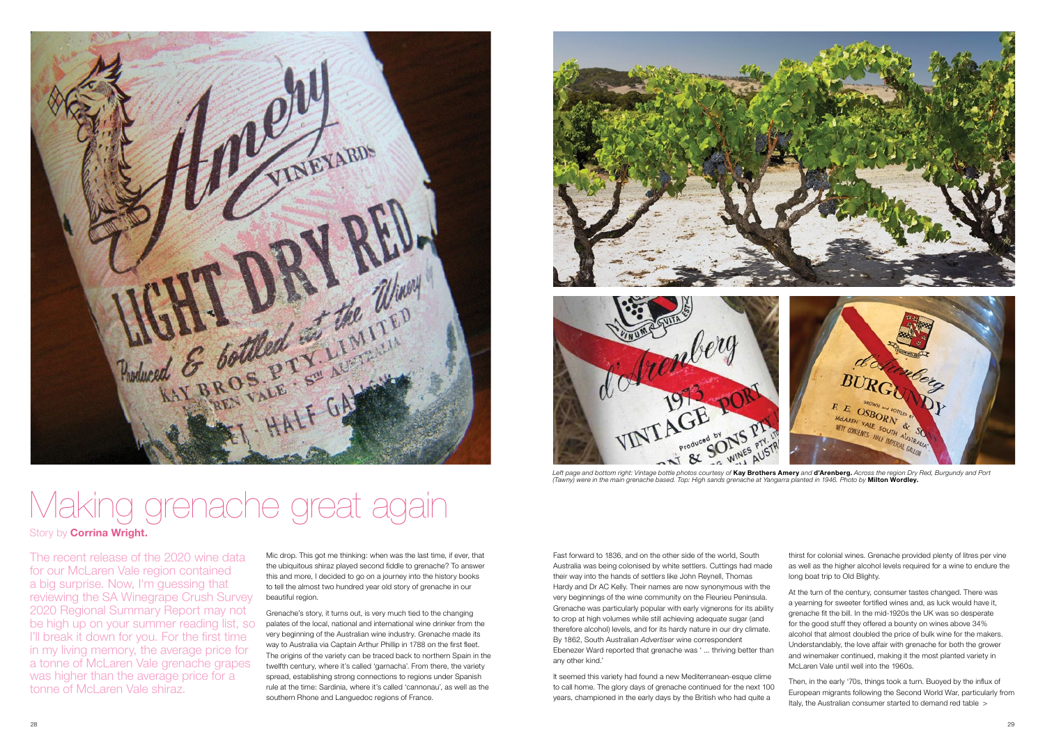The recent release of the 2020 wine data for our McLaren Vale region contained a big surprise. Now, I'm guessing that reviewing the SA Winegrape Crush Survey 2020 Regional Summary Report may not be high up on your summer reading list, so I'll break it down for you. For the first time in my living memory, the average price for a tonne of McLaren Vale grenache grapes was higher than the average price for a tonne of McLaren Vale shiraz.

Mic drop. This got me thinking: when was the last time, if ever, that the ubiquitous shiraz played second fiddle to grenache? To answer this and more, I decided to go on a journey into the history books to tell the almost two hundred year old story of grenache in our beautiful region.

Grenache's story, it turns out, is very much tied to the changing palates of the local, national and international wine drinker from the very beginning of the Australian wine industry. Grenache made its way to Australia via Captain Arthur Phillip in 1788 on the first fleet. The origins of the variety can be traced back to northern Spain in the twelfth century, where it's called 'garnacha'. From there, the variety spread, establishing strong connections to regions under Spanish rule at the time: Sardinia, where it's called 'cannonau', as well as the southern Rhone and Languedoc regions of France.



Then, in the early '70s, things took a turn. Buoyed by the influx of European migrants following the Second World War, particularly from Italy, the Australian consumer started to demand red table >

Fast forward to 1836, and on the other side of the world, South Australia was being colonised by white settlers. Cuttings had made their way into the hands of settlers like John Reynell, Thomas Hardy and Dr AC Kelly. Their names are now synonymous with the very beginnings of the wine community on the Fleurieu Peninsula. Grenache was particularly popular with early vignerons for its ability to crop at high volumes while still achieving adequate sugar (and therefore alcohol) levels, and for its hardy nature in our dry climate. By 1862, South Australian *Advertiser* wine correspondent Ebenezer Ward reported that grenache was ' ... thriving better than any other kind.'



Left page and bottom right: Vintage bottle photos courtesy of **Kay Brothers Amery** and **d'Arenberg.** Across the region Dry Red, Burgundy and Port *(Tawny) were in the main grenache based. Top: High sands grenache at Yangarra planted in 1946. Photo by* **Milton Wordley.**

It seemed this variety had found a new Mediterranean-esque clime to call home. The glory days of grenache continued for the next 100 years, championed in the early days by the British who had quite a

thirst for colonial wines. Grenache provided plenty of litres per vine as well as the higher alcohol levels required for a wine to endure the long boat trip to Old Blighty.

At the turn of the century, consumer tastes changed. There was a yearning for sweeter fortified wines and, as luck would have it, grenache fit the bill. In the mid-1920s the UK was so desperate for the good stuff they offered a bounty on wines above 34% alcohol that almost doubled the price of bulk wine for the makers. Understandably, the love affair with grenache for both the grower and winemaker continued, making it the most planted variety in McLaren Vale until well into the 1960s.



## Making grenache great again

## Story by **Corrina Wright.**